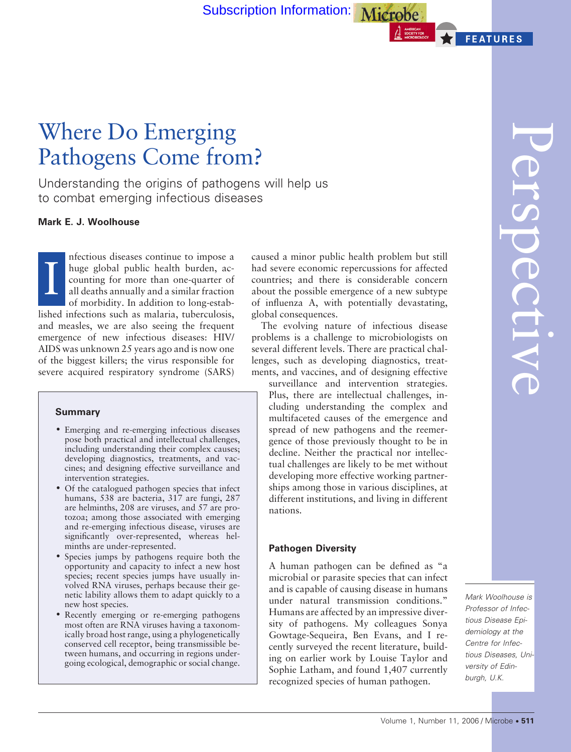[Subscription Information:](http://www.asm.org/Membership/index.asp?bid=363) Microbe

# Where Do Emerging Pathogens Come from?

Understanding the origins of pathogens will help us to combat emerging infectious diseases

## **Mark E. J. Woolhouse**

I nfectious diseases continue to impose a huge global public health burden, accounting for more than one-quarter of all deaths annually and a similar fraction of morbidity. In addition to long-established infections such as malaria, tuberculosis, and measles, we are also seeing the frequent emergence of new infectious diseases: HIV/ AIDS was unknown 25 years ago and is now one of the biggest killers; the virus responsible for severe acquired respiratory syndrome (SARS)

#### **Summary**

- Emerging and re-emerging infectious diseases pose both practical and intellectual challenges, including understanding their complex causes; developing diagnostics, treatments, and vaccines; and designing effective surveillance and intervention strategies.
- Of the catalogued pathogen species that infect humans, 538 are bacteria, 317 are fungi, 287 are helminths, 208 are viruses, and 57 are protozoa; among those associated with emerging and re-emerging infectious disease, viruses are significantly over-represented, whereas helminths are under-represented.
- Species jumps by pathogens require both the opportunity and capacity to infect a new host species; recent species jumps have usually involved RNA viruses, perhaps because their genetic lability allows them to adapt quickly to a new host species.
- Recently emerging or re-emerging pathogens most often are RNA viruses having a taxonomically broad host range, using a phylogenetically conserved cell receptor, being transmissible between humans, and occurring in regions undergoing ecological, demographic or social change.

caused a minor public health problem but still had severe economic repercussions for affected countries; and there is considerable concern about the possible emergence of a new subtype of influenza A, with potentially devastating, global consequences.

The evolving nature of infectious disease problems is a challenge to microbiologists on several different levels. There are practical challenges, such as developing diagnostics, treatments, and vaccines, and of designing effective

surveillance and intervention strategies. Plus, there are intellectual challenges, including understanding the complex and multifaceted causes of the emergence and spread of new pathogens and the reemergence of those previously thought to be in decline. Neither the practical nor intellectual challenges are likely to be met without developing more effective working partnerships among those in various disciplines, at different institutions, and living in different nations.

## **Pathogen Diversity**

A human pathogen can be defined as "a microbial or parasite species that can infect and is capable of causing disease in humans under natural transmission conditions." Humans are affected by an impressive diversity of pathogens. My colleagues Sonya Gowtage-Sequeira, Ben Evans, and I recently surveyed the recent literature, building on earlier work by Louise Taylor and Sophie Latham, and found 1,407 currently recognized species of human pathogen.

**FEATURES** 

*Professor of Infectious Disease Epidemiology at the Centre for Infectious Diseases, University of Edinburgh, U.K.*

*Mark Woolhouse is*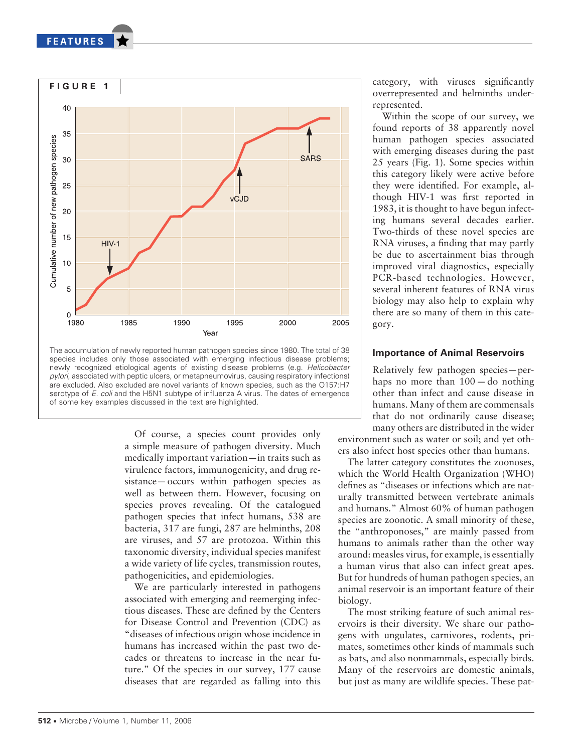**FEATURES** 



newly recognized etiological agents of existing disease problems (e.g. *Helicobacter pylori*, associated with peptic ulcers, or metapneumovirus, causing respiratory infections) are excluded. Also excluded are novel variants of known species, such as the O157:H7 serotype of *E. coli* and the H5N1 subtype of influenza A virus. The dates of emergence of some key examples discussed in the text are highlighted.

Of course, a species count provides only a simple measure of pathogen diversity. Much medically important variation—in traits such as virulence factors, immunogenicity, and drug resistance— occurs within pathogen species as well as between them. However, focusing on species proves revealing. Of the catalogued pathogen species that infect humans, 538 are bacteria, 317 are fungi, 287 are helminths, 208 are viruses, and 57 are protozoa. Within this taxonomic diversity, individual species manifest a wide variety of life cycles, transmission routes, pathogenicities, and epidemiologies.

We are particularly interested in pathogens associated with emerging and reemerging infectious diseases. These are defined by the Centers for Disease Control and Prevention (CDC) as "diseases of infectious origin whose incidence in humans has increased within the past two decades or threatens to increase in the near future." Of the species in our survey, 177 cause diseases that are regarded as falling into this category, with viruses significantly overrepresented and helminths underrepresented.

Within the scope of our survey, we found reports of 38 apparently novel human pathogen species associated with emerging diseases during the past 25 years (Fig. 1**)**. Some species within this category likely were active before they were identified. For example, although HIV-1 was first reported in 1983, it is thought to have begun infecting humans several decades earlier. Two-thirds of these novel species are RNA viruses, a finding that may partly be due to ascertainment bias through improved viral diagnostics, especially PCR-based technologies. However, several inherent features of RNA virus biology may also help to explain why there are so many of them in this category.

## **Importance of Animal Reservoirs**

Relatively few pathogen species—perhaps no more than 100— do nothing other than infect and cause disease in humans. Many of them are commensals that do not ordinarily cause disease; many others are distributed in the wider

environment such as water or soil; and yet others also infect host species other than humans.

The latter category constitutes the zoonoses, which the World Health Organization (WHO) defines as "diseases or infections which are naturally transmitted between vertebrate animals and humans." Almost 60% of human pathogen species are zoonotic. A small minority of these, the "anthroponoses," are mainly passed from humans to animals rather than the other way around: measles virus, for example, is essentially a human virus that also can infect great apes. But for hundreds of human pathogen species, an animal reservoir is an important feature of their biology.

The most striking feature of such animal reservoirs is their diversity. We share our pathogens with ungulates, carnivores, rodents, primates, sometimes other kinds of mammals such as bats, and also nonmammals, especially birds. Many of the reservoirs are domestic animals, but just as many are wildlife species. These pat-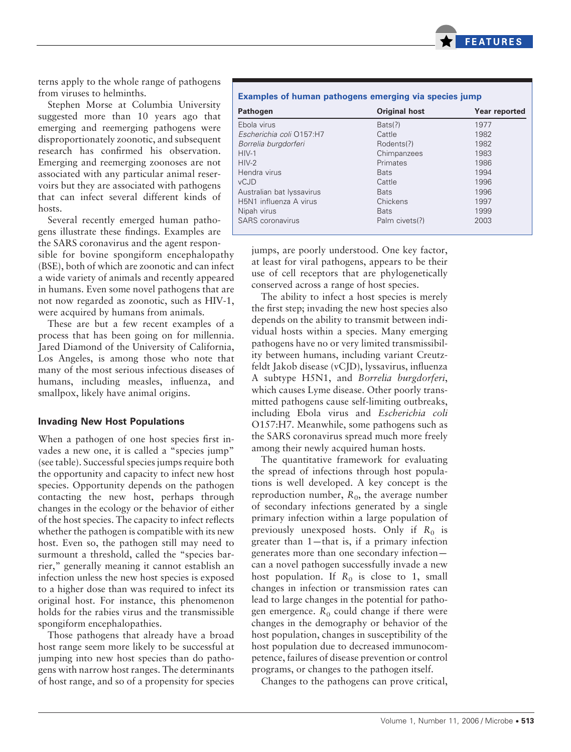

terns apply to the whole range of pathogens from viruses to helminths.

Stephen Morse at Columbia University suggested more than 10 years ago that emerging and reemerging pathogens were disproportionately zoonotic, and subsequent research has confirmed his observation. Emerging and reemerging zoonoses are not associated with any particular animal reservoirs but they are associated with pathogens that can infect several different kinds of hosts.

Several recently emerged human pathogens illustrate these findings. Examples are the SARS coronavirus and the agent respon-

sible for bovine spongiform encephalopathy (BSE), both of which are zoonotic and can infect a wide variety of animals and recently appeared in humans. Even some novel pathogens that are not now regarded as zoonotic, such as HIV-1, were acquired by humans from animals.

These are but a few recent examples of a process that has been going on for millennia. Jared Diamond of the University of California, Los Angeles, is among those who note that many of the most serious infectious diseases of humans, including measles, influenza, and smallpox, likely have animal origins.

#### **Invading New Host Populations**

When a pathogen of one host species first invades a new one, it is called a "species jump" (see table). Successful species jumps require both the opportunity and capacity to infect new host species. Opportunity depends on the pathogen contacting the new host, perhaps through changes in the ecology or the behavior of either of the host species. The capacity to infect reflects whether the pathogen is compatible with its new host. Even so, the pathogen still may need to surmount a threshold, called the "species barrier," generally meaning it cannot establish an infection unless the new host species is exposed to a higher dose than was required to infect its original host. For instance, this phenomenon holds for the rabies virus and the transmissible spongiform encephalopathies.

Those pathogens that already have a broad host range seem more likely to be successful at jumping into new host species than do pathogens with narrow host ranges. The determinants of host range, and so of a propensity for species

**Examples of human pathogens emerging via species jump**

| <b>Pathogen</b>           | <b>Original host</b> | Year reported |
|---------------------------|----------------------|---------------|
| Ebola virus               | Bats(?)              | 1977          |
| Escherichia coli 0157:H7  | Cattle               | 1982          |
| Borrelia burgdorferi      | Rodents(?)           | 1982          |
| $HIV-1$                   | Chimpanzees          | 1983          |
| $HIV-2$                   | Primates             | 1986          |
| Hendra virus              | <b>Bats</b>          | 1994          |
| <b>vCJD</b>               | Cattle               | 1996          |
| Australian bat lyssavirus | <b>Bats</b>          | 1996          |
| H5N1 influenza A virus    | Chickens             | 1997          |
| Nipah virus               | <b>Bats</b>          | 1999          |
| <b>SARS</b> coronavirus   | Palm civets(?)       | 2003          |

jumps, are poorly understood. One key factor, at least for viral pathogens, appears to be their use of cell receptors that are phylogenetically conserved across a range of host species.

The ability to infect a host species is merely the first step; invading the new host species also depends on the ability to transmit between individual hosts within a species. Many emerging pathogens have no or very limited transmissibility between humans, including variant Creutzfeldt Jakob disease (vCJD), lyssavirus, influenza A subtype H5N1, and *Borrelia burgdorferi*, which causes Lyme disease. Other poorly transmitted pathogens cause self-limiting outbreaks, including Ebola virus and *Escherichia coli* O157:H7. Meanwhile, some pathogens such as the SARS coronavirus spread much more freely among their newly acquired human hosts.

The quantitative framework for evaluating the spread of infections through host populations is well developed. A key concept is the reproduction number,  $R_0$ , the average number of secondary infections generated by a single primary infection within a large population of previously unexposed hosts. Only if  $R_0$  is greater than 1—that is, if a primary infection generates more than one secondary infection can a novel pathogen successfully invade a new host population. If  $R_0$  is close to 1, small changes in infection or transmission rates can lead to large changes in the potential for pathogen emergence.  $R_0$  could change if there were changes in the demography or behavior of the host population, changes in susceptibility of the host population due to decreased immunocompetence, failures of disease prevention or control programs, or changes to the pathogen itself.

Changes to the pathogens can prove critical,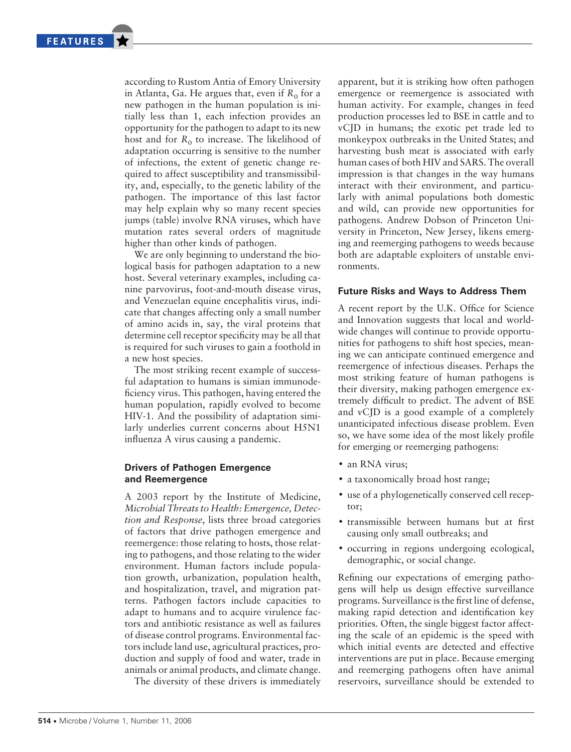according to Rustom Antia of Emory University in Atlanta, Ga. He argues that, even if  $R_0$  for a new pathogen in the human population is initially less than 1, each infection provides an opportunity for the pathogen to adapt to its new host and for  $R_0$  to increase. The likelihood of adaptation occurring is sensitive to the number of infections, the extent of genetic change required to affect susceptibility and transmissibility, and, especially, to the genetic lability of the pathogen. The importance of this last factor may help explain why so many recent species jumps (table) involve RNA viruses, which have mutation rates several orders of magnitude higher than other kinds of pathogen.

We are only beginning to understand the biological basis for pathogen adaptation to a new host. Several veterinary examples, including canine parvovirus, foot-and-mouth disease virus, and Venezuelan equine encephalitis virus, indicate that changes affecting only a small number of amino acids in, say, the viral proteins that determine cell receptor specificity may be all that is required for such viruses to gain a foothold in a new host species.

The most striking recent example of successful adaptation to humans is simian immunodeficiency virus. This pathogen, having entered the human population, rapidly evolved to become HIV-1. And the possibility of adaptation similarly underlies current concerns about H5N1 influenza A virus causing a pandemic.

## **Drivers of Pathogen Emergence and Reemergence**

A 2003 report by the Institute of Medicine, *Microbial Threats to Health: Emergence, Detection and Response*, lists three broad categories of factors that drive pathogen emergence and reemergence: those relating to hosts, those relating to pathogens, and those relating to the wider environment. Human factors include population growth, urbanization, population health, and hospitalization, travel, and migration patterns. Pathogen factors include capacities to adapt to humans and to acquire virulence factors and antibiotic resistance as well as failures of disease control programs. Environmental factors include land use, agricultural practices, production and supply of food and water, trade in animals or animal products, and climate change.

The diversity of these drivers is immediately

apparent, but it is striking how often pathogen emergence or reemergence is associated with human activity. For example, changes in feed production processes led to BSE in cattle and to vCJD in humans; the exotic pet trade led to monkeypox outbreaks in the United States; and harvesting bush meat is associated with early human cases of both HIV and SARS. The overall impression is that changes in the way humans interact with their environment, and particularly with animal populations both domestic and wild, can provide new opportunities for pathogens. Andrew Dobson of Princeton University in Princeton, New Jersey, likens emerging and reemerging pathogens to weeds because both are adaptable exploiters of unstable environments.

#### **Future Risks and Ways to Address Them**

A recent report by the U.K. Office for Science and Innovation suggests that local and worldwide changes will continue to provide opportunities for pathogens to shift host species, meaning we can anticipate continued emergence and reemergence of infectious diseases. Perhaps the most striking feature of human pathogens is their diversity, making pathogen emergence extremely difficult to predict. The advent of BSE and vCJD is a good example of a completely unanticipated infectious disease problem. Even so, we have some idea of the most likely profile for emerging or reemerging pathogens:

- an RNA virus:
- a taxonomically broad host range;
- use of a phylogenetically conserved cell receptor;
- transmissible between humans but at first causing only small outbreaks; and
- occurring in regions undergoing ecological, demographic, or social change.

Refining our expectations of emerging pathogens will help us design effective surveillance programs. Surveillance is the first line of defense, making rapid detection and identification key priorities. Often, the single biggest factor affecting the scale of an epidemic is the speed with which initial events are detected and effective interventions are put in place. Because emerging and reemerging pathogens often have animal reservoirs, surveillance should be extended to